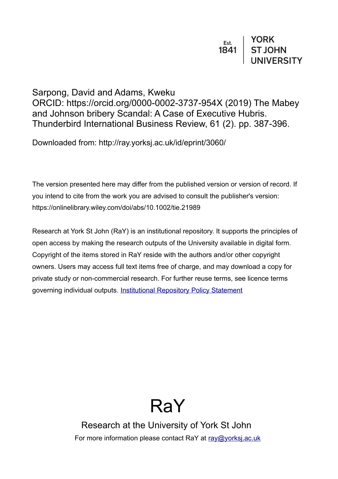# $\begin{array}{c|c} \n \texttt{Est.} & \texttt{YORK} \\
 \texttt{1841} & \texttt{ST JOHN} \\
 & \texttt{UNIVERSITY}\n \end{array}$

# Sarpong, David and Adams, Kweku ORCID: https://orcid.org/0000-0002-3737-954X (2019) The Mabey and Johnson bribery Scandal: A Case of Executive Hubris. Thunderbird International Business Review, 61 (2). pp. 387-396.

Downloaded from: http://ray.yorksj.ac.uk/id/eprint/3060/

The version presented here may differ from the published version or version of record. If you intend to cite from the work you are advised to consult the publisher's version: https://onlinelibrary.wiley.com/doi/abs/10.1002/tie.21989

Research at York St John (RaY) is an institutional repository. It supports the principles of open access by making the research outputs of the University available in digital form. Copyright of the items stored in RaY reside with the authors and/or other copyright owners. Users may access full text items free of charge, and may download a copy for private study or non-commercial research. For further reuse terms, see licence terms governing individual outputs. [Institutional Repository Policy Statement](https://www.yorksj.ac.uk/ils/repository-policies/)

# RaY

Research at the University of York St John For more information please contact RaY at [ray@yorksj.ac.uk](mailto:ray@yorksj.ac.uk)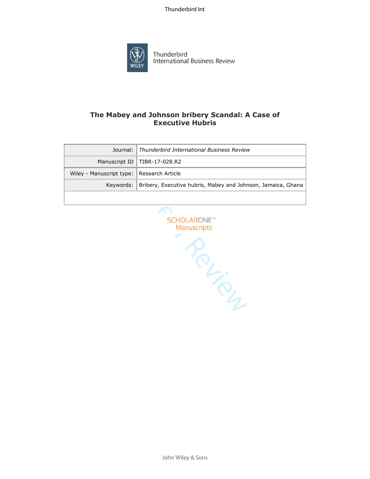

Thunderbird International Business Review

# **The Mabey and Johnson bribery Scandal: A Case of Executive Hubris**

|                                           | Journal: Thunderbird International Business Review                       |  |
|-------------------------------------------|--------------------------------------------------------------------------|--|
|                                           | Manuscript ID   TIBR-17-028.R2                                           |  |
| Wiley - Manuscript type: Research Article |                                                                          |  |
|                                           | Keywords:   Bribery, Executive hubris, Mabey and Johnson, Jamaica, Ghana |  |
|                                           |                                                                          |  |

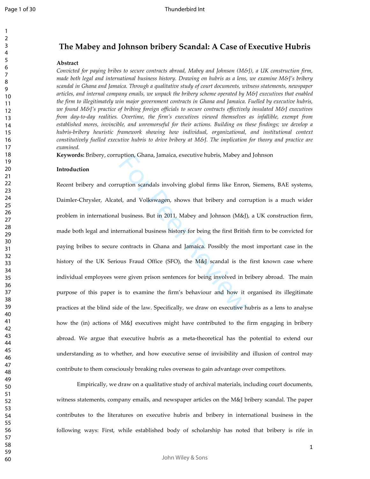## **The Mabey and Johnson bribery Scandal: A Case of Executive Hubris**

#### **Abstract**

*Convicted for paying bribes to secure contracts abroad, Mabey and Johnson (M&J), a UK construction firm, made both legal and international business history. Drawing on hubris as a lens, we examine M&J's bribery scandal in Ghana and Jamaica. Through a qualitative study of court documents, witness statements, newspaper articles, and internal company emails, we unpack the bribery scheme operated by M&J executives that enabled the firm to illegitimately win major government contracts in Ghana and Jamaica. Fuelled by executive hubris, we found M&J's practice of bribing foreign officials to secure contracts effectively insulated M&J executives from day-to-day realities. Overtime, the firm's executives viewed themselves as infallible, exempt from established mores, invincible, and unremorseful for their actions. Building on these findings; we develop a hubris-bribery heuristic framework showing how individual, organizational, and institutional context constitutively fuelled executive hubris to drive bribery at M&J. The implication for theory and practice are examined.* 

**Keywords:** Bribery, corruption, Ghana, Jamaica, executive hubris, Mabey and Johnson

#### **Introduction**

uption, Ghana, Jamaica, executive hubris, Mabey an<br>uption scandals involving global firms like Enror<br>el, and Volkswagen, shows that bribery and corn<br>l business. But in 2011, Mabey and Johnson (M&J)<br>pernational business his Recent bribery and corruption scandals involving global firms like Enron, Siemens, BAE systems, Daimler-Chrysler, Alcatel, and Volkswagen, shows that bribery and corruption is a much wider problem in international business. But in 2011, Mabey and Johnson (M&J), a UK construction firm, made both legal and international business history for being the first British firm to be convicted for paying bribes to secure contracts in Ghana and Jamaica. Possibly the most important case in the history of the UK Serious Fraud Office (SFO), the M&J scandal is the first known case where individual employees were given prison sentences for being involved in bribery abroad. The main purpose of this paper is to examine the firm's behaviour and how it organised its illegitimate practices at the blind side of the law. Specifically, we draw on executive hubris as a lens to analyse how the (in) actions of M&J executives might have contributed to the firm engaging in bribery abroad. We argue that executive hubris as a meta-theoretical has the potential to extend our understanding as to whether, and how executive sense of invisibility and illusion of control may contribute to them consciously breaking rules overseas to gain advantage over competitors.

 Empirically, we draw on a qualitative study of archival materials, including court documents, witness statements, company emails, and newspaper articles on the M&J bribery scandal. The paper contributes to the literatures on executive hubris and bribery in international business in the following ways: First, while established body of scholarship has noted that bribery is rife in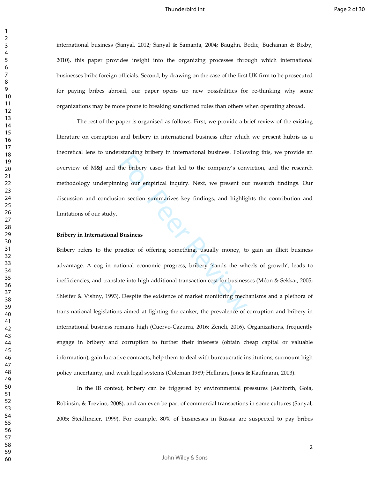international business (Sanyal, 2012; Sanyal & Samanta, 2004; Baughn, Bodie, Buchanan & Bixby, 2010), this paper provides insight into the organizing processes through which international businesses bribe foreign officials. Second, by drawing on the case of the first UK firm to be prosecuted for paying bribes abroad, our paper opens up new possibilities for re-thinking why some organizations may be more prone to breaking sanctioned rules than others when operating abroad.

 The rest of the paper is organised as follows. First, we provide a brief review of the existing literature on corruption and bribery in international business after which we present hubris as a theoretical lens to understanding bribery in international business. Following this, we provide an overview of M&J and the bribery cases that led to the company's conviction, and the research methodology underpinning our empirical inquiry. Next, we present our research findings. Our discussion and conclusion section summarizes key findings, and highlights the contribution and limitations of our study.

#### **Bribery in International Business**

For Principle True Principle True Principle True Principle Principle Principle Principle Principle Principle Principle Principle Principle Principle Principle Principle Principle Principle Principle Principle Principle Pri Bribery refers to the practice of offering something, usually money, to gain an illicit business advantage. A cog in national economic progress, bribery 'sands the wheels of growth', leads to inefficiencies, and translate into high additional transaction cost for businesses (Méon & Sekkat, 2005; Shleifer & Vishny, 1993). Despite the existence of market monitoring mechanisms and a plethora of trans-national legislations aimed at fighting the canker, the prevalence of corruption and bribery in international business remains high (Cuervo-Cazurra, 2016; Zeneli, 2016). Organizations, frequently engage in bribery and corruption to further their interests (obtain cheap capital or valuable information), gain lucrative contracts; help them to deal with bureaucratic institutions, surmount high policy uncertainty, and weak legal systems (Coleman 1989; Hellman, Jones & Kaufmann, 2003).

 In the IB context, bribery can be triggered by environmental pressures (Ashforth, Goia, Robinsin, & Trevino, 2008), and can even be part of commercial transactions in some cultures (Sanyal, 2005; Steidlmeier, 1999). For example, 80% of businesses in Russia are suspected to pay bribes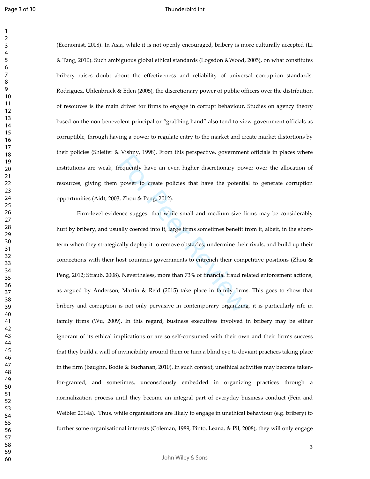(Economist, 2008). In Asia, while it is not openly encouraged, bribery is more culturally accepted (Li & Tang, 2010). Such ambiguous global ethical standards (Logsdon &Wood, 2005), on what constitutes bribery raises doubt about the effectiveness and reliability of universal corruption standards. Rodriguez, Uhlenbruck & Eden (2005), the discretionary power of public officers over the distribution of resources is the main driver for firms to engage in corrupt behaviour. Studies on agency theory based on the non-benevolent principal or "grabbing hand" also tend to view government officials as corruptible, through having a power to regulate entry to the market and create market distortions by their policies (Shleifer & Vishny, 1998). From this perspective, government officials in places where institutions are weak, frequently have an even higher discretionary power over the allocation of resources, giving them power to create policies that have the potential to generate corruption opportunities (Aidt, 2003; Zhou & Peng, 2012).

For Principle and even higher discretionary pow<br>power to create policies that have the potentials;<br>Zhou & Peng, 2012).<br>nce suggest that while small and medium size fit<br>ally coerced into it, large firms sometimes benefit f Firm-level evidence suggest that while small and medium size firms may be considerably hurt by bribery, and usually coerced into it, large firms sometimes benefit from it, albeit, in the shortterm when they strategically deploy it to remove obstacles, undermine their rivals, and build up their connections with their host countries governments to entrench their competitive positions (Zhou & Peng, 2012; Straub, 2008). Nevertheless, more than 73% of financial fraud related enforcement actions, as argued by Anderson, Martin & Reid (2015) take place in family firms. This goes to show that bribery and corruption is not only pervasive in contemporary organizing, it is particularly rife in family firms (Wu, 2009). In this regard, business executives involved in bribery may be either ignorant of its ethical implications or are so self-consumed with their own and their firm's success that they build a wall of invincibility around them or turn a blind eye to deviant practices taking place in the firm (Baughn, Bodie & Buchanan, 2010). In such context, unethical activities may become takenfor-granted, and sometimes, unconsciously embedded in organizing practices through a normalization process until they become an integral part of everyday business conduct (Fein and Weibler 2014a). Thus, while organisations are likely to engage in unethical behaviour (e.g. bribery) to further some organisational interests (Coleman, 1989, Pinto, Leana, & Pil, 2008), they will only engage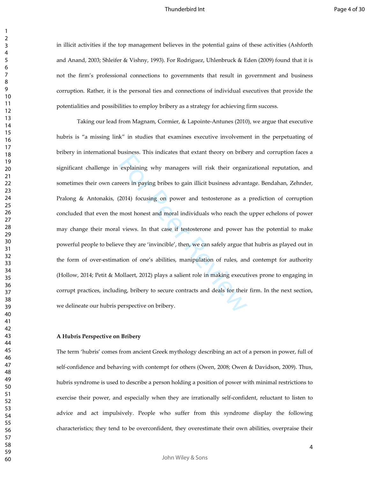in illicit activities if the top management believes in the potential gains of these activities (Ashforth and Anand, 2003; Shleifer & Vishny, 1993). For Rodriguez, Uhlenbruck & Eden (2009) found that it is not the firm's professional connections to governments that result in government and business corruption. Rather, it is the personal ties and connections of individual executives that provide the potentialities and possibilities to employ bribery as a strategy for achieving firm success.

explaining why managers will risk their organ<br>eers in paying bribes to gain illicit business advan<br>2014) focusing on power and testosterone as a<br>most honest and moral individuals who reach the<br>l views. In that case if test Taking our lead from Magnam, Cormier, & Lapointe-Antunes (2010), we argue that executive hubris is "a missing link" in studies that examines executive involvement in the perpetuating of bribery in international business. This indicates that extant theory on bribery and corruption faces a significant challenge in explaining why managers will risk their organizational reputation, and sometimes their own careers in paying bribes to gain illicit business advantage. Bendahan, Zehnder, Pralong & Antonakis, (2014) focusing on power and testosterone as a prediction of corruption concluded that even the most honest and moral individuals who reach the upper echelons of power may change their moral views. In that case if testosterone and power has the potential to make powerful people to believe they are 'invincible', then, we can safely argue that hubris as played out in the form of over-estimation of one's abilities, manipulation of rules, and contempt for authority (Hollow, 2014; Petit & Mollaert, 2012) plays a salient role in making executives prone to engaging in corrupt practices, including, bribery to secure contracts and deals for their firm. In the next section, we delineate our hubris perspective on bribery.

#### **A Hubris Perspective on Bribery**

The term 'hubris' comes from ancient Greek mythology describing an act of a person in power, full of self-confidence and behaving with contempt for others (Owen, 2008; Owen & Davidson, 2009). Thus, hubris syndrome is used to describe a person holding a position of power with minimal restrictions to exercise their power, and especially when they are irrationally self-confident, reluctant to listen to advice and act impulsively. People who suffer from this syndrome display the following characteristics; they tend to be overconfident, they overestimate their own abilities, overpraise their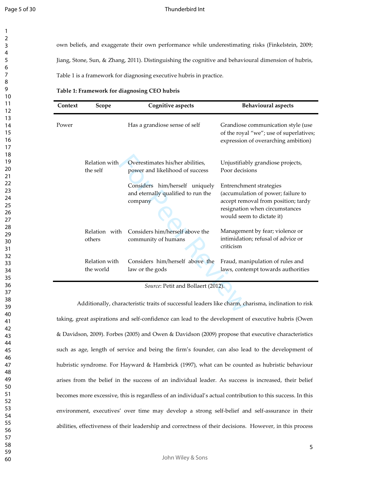#### Thunderbird Int

own beliefs, and exaggerate their own performance while underestimating risks (Finkelstein, 2009;

Jiang, Stone, Sun, & Zhang, 2011). Distinguishing the cognitive and behavioural dimension of hubris,

Table 1 is a framework for diagnosing executive hubris in practice.

**Table 1: Framework for diagnosing CEO hubris**

| Context | Scope                      | Cognitive aspects                                                               | <b>Behavioural aspects</b>                                                                                                                                          |
|---------|----------------------------|---------------------------------------------------------------------------------|---------------------------------------------------------------------------------------------------------------------------------------------------------------------|
| Power   |                            | Has a grandiose sense of self                                                   | Grandiose communication style (use<br>of the royal "we"; use of superlatives;<br>expression of overarching ambition)                                                |
|         | Relation with<br>the self  | Overestimates his/her abilities,<br>power and likelihood of success             | Unjustifiably grandiose projects,<br>Poor decisions                                                                                                                 |
|         |                            | Considers him/herself uniquely<br>and eternally qualified to run the<br>company | Entrenchment strategies<br>(accumulation of power; failure to<br>accept removal from position; tardy<br>resignation when circumstances<br>would seem to dictate it) |
|         | Relation with<br>others    | Considers him/herself above the<br>community of humans                          | Management by fear; violence or<br>intimidation; refusal of advice or<br>criticism                                                                                  |
|         | Relation with<br>the world | Considers him/herself above the<br>law or the gods                              | Fraud, manipulation of rules and<br>laws, contempt towards authorities                                                                                              |
|         |                            | Source: Petit and Bollaert (2012).                                              |                                                                                                                                                                     |
|         |                            |                                                                                 | Additionally, characteristic traits of successful leaders like charm, charisma, inclination to risk                                                                 |

 Additionally, characteristic traits of successful leaders like charm, charisma, inclination to risk taking, great aspirations and self-confidence can lead to the development of executive hubris (Owen & Davidson, 2009). Forbes (2005) and Owen & Davidson (2009) propose that executive characteristics such as age, length of service and being the firm's founder, can also lead to the development of hubristic syndrome. For Hayward & Hambrick (1997), what can be counted as hubristic behaviour arises from the belief in the success of an individual leader. As success is increased, their belief becomes more excessive, this is regardless of an individual's actual contribution to this success. In this environment, executives' over time may develop a strong self-belief and self-assurance in their abilities, effectiveness of their leadership and correctness of their decisions. However, in this process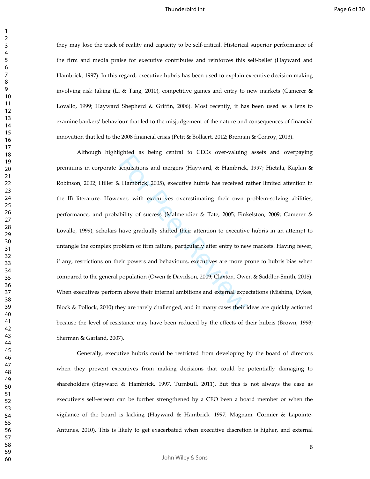they may lose the track of reality and capacity to be self-critical. Historical superior performance of the firm and media praise for executive contributes and reinforces this self-belief (Hayward and Hambrick, 1997). In this regard, executive hubris has been used to explain executive decision making involving risk taking (Li & Tang, 2010), competitive games and entry to new markets (Camerer & Lovallo, 1999; Hayward Shepherd & Griffin, 2006). Most recently, it has been used as a lens to examine bankers' behaviour that led to the misjudgement of the nature and consequences of financial innovation that led to the 2008 financial crisis (Petit & Bollaert, 2012; Brennan & Conroy, 2013).

acquisitions and mergers (Hayward, & Hambrick,<br>acquisitions and mergers (Hayward, & Hambrick,<br>r. Hambrick, 2005), executive hubris has received r<br>ver, with executives overestimating their own p<br>bility of success (Malmendie Although highlighted as being central to CEOs over-valuing assets and overpaying premiums in corporate acquisitions and mergers (Hayward, & Hambrick, 1997; Hietala, Kaplan & Robinson, 2002; Hiller & Hambrick, 2005), executive hubris has received rather limited attention in the IB literature. However, with executives overestimating their own problem-solving abilities, performance, and probability of success (Malmendier & Tate, 2005; Finkelston, 2009; Camerer & Lovallo, 1999), scholars have gradually shifted their attention to executive hubris in an attempt to untangle the complex problem of firm failure, particularly after entry to new markets. Having fewer, if any, restrictions on their powers and behaviours, executives are more prone to hubris bias when compared to the general population (Owen & Davidson, 2009; Claxton, Owen & Saddler-Smith, 2015). When executives perform above their internal ambitions and external expectations (Mishina, Dykes, Block & Pollock, 2010) they are rarely challenged, and in many cases their ideas are quickly actioned because the level of resistance may have been reduced by the effects of their hubris (Brown, 1993; Sherman & Garland, 2007).

 Generally, executive hubris could be restricted from developing by the board of directors when they prevent executives from making decisions that could be potentially damaging to shareholders (Hayward & Hambrick, 1997, Turnbull, 2011). But this is not always the case as executive's self-esteem can be further strengthened by a CEO been a board member or when the vigilance of the board is lacking (Hayward & Hambrick, 1997, Magnam, Cormier & Lapointe-Antunes, 2010). This is likely to get exacerbated when executive discretion is higher, and external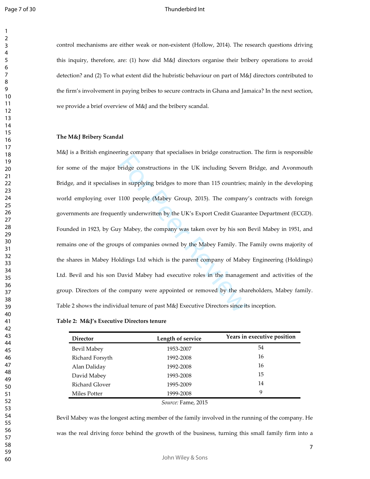$\overline{2}$ 

#### Thunderbird Int

control mechanisms are either weak or non-existent (Hollow, 2014). The research questions driving this inquiry, therefore, are: (1) how did M&J directors organise their bribery operations to avoid detection? and (2) To what extent did the hubristic behaviour on part of M&J directors contributed to the firm's involvement in paying bribes to secure contracts in Ghana and Jamaica? In the next section, we provide a brief overview of M&J and the bribery scandal.

#### **The M&J Bribery Scandal**

ring company unit operations in the UK including Severn<br>sin supplying bridges to more than 115 countries;<br>1100 people (Mabey Group, 2015). The company<br>tily underwritten by the UK's Export Credit Guarar<br>y Mabey, the company M&J is a British engineering company that specialises in bridge construction. The firm is responsible for some of the major bridge constructions in the UK including Severn Bridge, and Avonmouth Bridge, and it specialises in supplying bridges to more than 115 countries; mainly in the developing world employing over 1100 people (Mabey Group, 2015). The company's contracts with foreign governments are frequently underwritten by the UK's Export Credit Guarantee Department (ECGD). Founded in 1923, by Guy Mabey, the company was taken over by his son Bevil Mabey in 1951, and remains one of the groups of companies owned by the Mabey Family. The Family owns majority of the shares in Mabey Holdings Ltd which is the parent company of Mabey Engineering (Holdings) Ltd. Bevil and his son David Mabey had executive roles in the management and activities of the group. Directors of the company were appointed or removed by the shareholders, Mabey family. Table 2 shows the individual tenure of past M&J Executive Directors since its inception.

#### **Table 2: M&J's Executive Directors tenure**

| <b>Director</b> | Length of service | Years in executive position |
|-----------------|-------------------|-----------------------------|
| Bevil Mabey     | 1953-2007         | 54                          |
| Richard Forsyth | 1992-2008         | 16                          |
| Alan Daliday    | 1992-2008         | 16                          |
| David Mabey     | 1993-2008         | 15                          |
| Richard Glover  | 1995-2009         | 14                          |
| Miles Potter    | 1999-2008         | 9                           |

*Source:* Fame, 2015

Bevil Mabey was the longest acting member of the family involved in the running of the company. He was the real driving force behind the growth of the business, turning this small family firm into a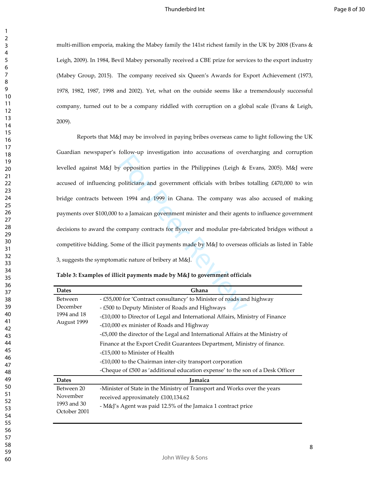multi-million emporia, making the Mabey family the 141st richest family in the UK by 2008 (Evans & Leigh, 2009). In 1984, Bevil Mabey personally received a CBE prize for services to the export industry (Mabey Group, 2015). The company received six Queen's Awards for Export Achievement (1973, 1978, 1982, 1987, 1998 and 2002). Yet, what on the outside seems like a tremendously successful company, turned out to be a company riddled with corruption on a global scale (Evans & Leigh, 2009).

below the Integration and accessions of over<br>y opposition parties in the Philippines (Leigh &<br>politicians and government officials with bribes<br>en 1994 and 1999 in Ghana. The company was<br>to a Jamaican government minister an Reports that M&J may be involved in paying bribes overseas came to light following the UK Guardian newspaper's follow-up investigation into accusations of overcharging and corruption levelled against M&J by opposition parties in the Philippines (Leigh & Evans, 2005). M&J were accused of influencing politicians and government officials with bribes totalling £470,000 to win bridge contracts between 1994 and 1999 in Ghana. The company was also accused of making payments over \$100,000 to a Jamaican government minister and their agents to influence government decisions to award the company contracts for flyover and modular pre-fabricated bridges without a competitive bidding. Some of the illicit payments made by M&J to overseas officials as listed in Table 3, suggests the symptomatic nature of bribery at M&J.

|  |  |  |  |  | Table 3: Examples of illicit payments made by M&J to government officials |
|--|--|--|--|--|---------------------------------------------------------------------------|
|--|--|--|--|--|---------------------------------------------------------------------------|

| Ghana                                                                                                                                                                                                                                                                                                                                                                                                                                                                                                                                                                                                               |  |
|---------------------------------------------------------------------------------------------------------------------------------------------------------------------------------------------------------------------------------------------------------------------------------------------------------------------------------------------------------------------------------------------------------------------------------------------------------------------------------------------------------------------------------------------------------------------------------------------------------------------|--|
| - £55,000 for 'Contract consultancy' to Minister of roads and highway<br>- £500 to Deputy Minister of Roads and Highways<br>-£10,000 to Director of Legal and International Affairs, Ministry of Finance<br>-£10,000 ex minister of Roads and Highway<br>-£5,000 the director of the Legal and International Affairs at the Ministry of<br>Finance at the Export Credit Guarantees Department, Ministry of finance.<br>-£15,000 to Minister of Health<br>$-\text{\pounds}10,000$ to the Chairman inter-city transport corporation<br>-Cheque of £500 as 'additional education expense' to the son of a Desk Officer |  |
| <b>Jamaica</b>                                                                                                                                                                                                                                                                                                                                                                                                                                                                                                                                                                                                      |  |
| -Minister of State in the Ministry of Transport and Works over the years<br>received approximately £100,134.62<br>- M&J's Agent was paid 12.5% of the Jamaica 1 contract price                                                                                                                                                                                                                                                                                                                                                                                                                                      |  |
|                                                                                                                                                                                                                                                                                                                                                                                                                                                                                                                                                                                                                     |  |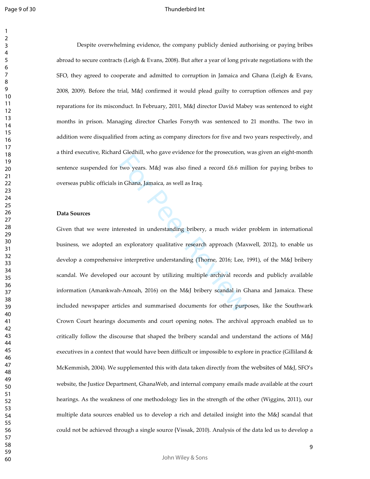#### Thunderbird Int

 Despite overwhelming evidence, the company publicly denied authorising or paying bribes abroad to secure contracts (Leigh & Evans, 2008). But after a year of long private negotiations with the SFO, they agreed to cooperate and admitted to corruption in Jamaica and Ghana (Leigh & Evans, 2008, 2009). Before the trial, M&J confirmed it would plead guilty to corruption offences and pay reparations for its misconduct. In February, 2011, M&J director David Mabey was sentenced to eight months in prison. Managing director Charles Forsyth was sentenced to 21 months. The two in addition were disqualified from acting as company directors for five and two years respectively, and a third executive, Richard Gledhill, who gave evidence for the prosecution, was given an eight-month sentence suspended for two years. M&J was also fined a record £6.6 million for paying bribes to overseas public officials in Ghana, Jamaica, as well as Iraq.

#### **Data Sources**

For Presentative Inc. as well as Iraq.<br>
In Ghana, Jamaica, as well as Iraq.<br>
In Ghana, Jamaica, as well as Iraq.<br>
In Ghana, Jamaica, as well as Iraq.<br>
In Ghana, Jamaica, as well as Iraq.<br>
Inc. Share error are provided in u Given that we were interested in understanding bribery, a much wider problem in international business, we adopted an exploratory qualitative research approach (Maxwell, 2012), to enable us develop a comprehensive interpretive understanding (Thorne, 2016; Lee, 1991), of the M&J bribery scandal. We developed our account by utilizing multiple archival records and publicly available information (Amankwah-Amoah, 2016) on the M&J bribery scandal in Ghana and Jamaica. These included newspaper articles and summarised documents for other purposes, like the Southwark Crown Court hearings documents and court opening notes. The archival approach enabled us to critically follow the discourse that shaped the bribery scandal and understand the actions of M&J executives in a context that would have been difficult or impossible to explore in practice (Gilliland & McKemmish, 2004). We supplemented this with data taken directly from the websites of M&J, SFO's website, the Justice Department, GhanaWeb, and internal company emails made available at the court hearings. As the weakness of one methodology lies in the strength of the other (Wiggins, 2011), our multiple data sources enabled us to develop a rich and detailed insight into the M&J scandal that could not be achieved through a single source (Vissak, 2010). Analysis of the data led us to develop a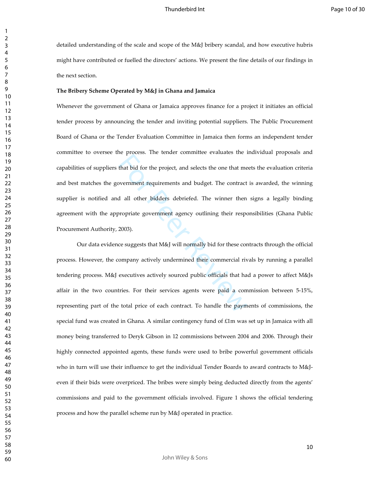detailed understanding of the scale and scope of the M&J bribery scandal, and how executive hubris might have contributed or fuelled the directors' actions. We present the fine details of our findings in the next section.

#### **The Bribery Scheme Operated by M&J in Ghana and Jamaica**

re process. The tender commute crutaties the 1<br>that bid for the project, and selects the one that me<br>wernment requirements and budget. The contract<br>d all other bidders debriefed. The winner then<br>propriate government agency Whenever the government of Ghana or Jamaica approves finance for a project it initiates an official tender process by announcing the tender and inviting potential suppliers. The Public Procurement Board of Ghana or the Tender Evaluation Committee in Jamaica then forms an independent tender committee to oversee the process. The tender committee evaluates the individual proposals and capabilities of suppliers that bid for the project, and selects the one that meets the evaluation criteria and best matches the government requirements and budget. The contract is awarded, the winning supplier is notified and all other bidders debriefed. The winner then signs a legally binding agreement with the appropriate government agency outlining their responsibilities (Ghana Public Procurement Authority, 2003).

 Our data evidence suggests that M&J will normally bid for these contracts through the official process. However, the company actively undermined their commercial rivals by running a parallel tendering process. M&J executives actively sourced public officials that had a power to affect M&Js affair in the two countries. For their services agents were paid a commission between 5-15%, representing part of the total price of each contract. To handle the payments of commissions, the special fund was created in Ghana. A similar contingency fund of £1m was set up in Jamaica with all money being transferred to Deryk Gibson in 12 commissions between 2004 and 2006. Through their highly connected appointed agents, these funds were used to bribe powerful government officials who in turn will use their influence to get the individual Tender Boards to award contracts to M&Jeven if their bids were overpriced. The bribes were simply being deducted directly from the agents' commissions and paid to the government officials involved. Figure 1 shows the official tendering process and how the parallel scheme run by M&J operated in practice.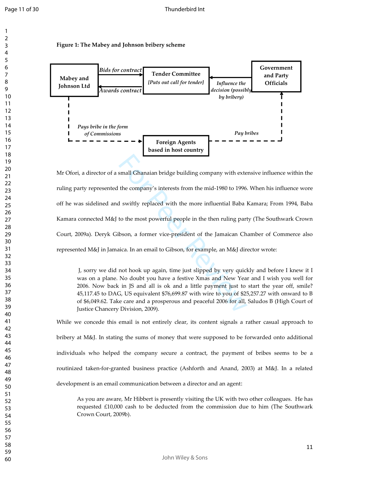#### **Figure 1: The Mabey and Johnson bribery scheme**



small Ghanaian bridge building company with external Ghanaian bridge building company with externation of the company's interests from the mid-1980 to 1996.<br>
I swiftly replaced with the more influential Baba I<br>
to the most Mr Ofori, a director of a small Ghanaian bridge building company with extensive influence within the ruling party represented the company's interests from the mid-1980 to 1996. When his influence wore off he was sidelined and swiftly replaced with the more influential Baba Kamara; From 1994, Baba Kamara connected M&J to the most powerful people in the then ruling party (The Southwark Crown Court, 2009a). Deryk Gibson, a former vice-president of the Jamaican Chamber of Commerce also represented M&J in Jamaica. In an email to Gibson, for example, an M&J director wrote:

J, sorry we did not hook up again, time just slipped by very quickly and before I knew it I was on a plane. No doubt you have a festive Xmas and New Year and I wish you well for 2006. Now back in JS and all is ok and a little payment just to start the year off, smile? 45,117.45 to DAG, US equivalent \$76,699.87 with wire to you of \$25,257.27 with onward to B of \$6,049.62. Take care and a prosperous and peaceful 2006 for all, Saludos B (High Court of Justice Chancery Division, 2009).

While we concede this email is not entirely clear, its content signals a rather casual approach to bribery at M&J. In stating the sums of money that were supposed to be forwarded onto additional individuals who helped the company secure a contract, the payment of bribes seems to be a routinized taken-for-granted business practice (Ashforth and Anand, 2003) at M&J. In a related development is an email communication between a director and an agent :

As you are aware, Mr Hibbert is presently visiting the UK with two other colleagues. He has requested £10,000 cash to be deducted from the commission due to him (The Southwark Crown Court, 2009b).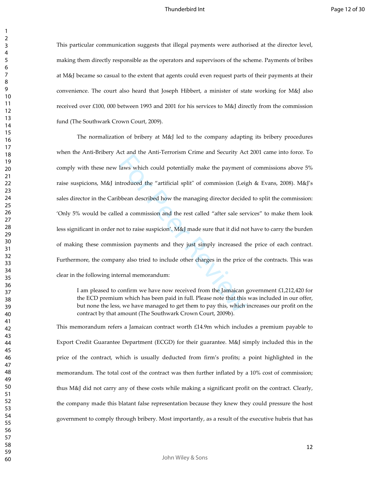This particular communication suggests that illegal payments were authorised at the director level, making them directly responsible as the operators and supervisors of the scheme. Payments of bribes at M&J became so casual to the extent that agents could even request parts of their payments at their convenience. The court also heard that Joseph Hibbert, a minister of state working for M&J also received over £100, 000 between 1993 and 2001 for his services to M&J directly from the commission fund (The Southwark Crown Court, 2009).

laws which could potentially make the payment c<br>laws which could potentially make the payment c<br>troduced the "artificial split" of commission (Leig<br>bbean described how the managing director decide<br>ed a commission and the r The normalization of bribery at M&J led to the company adapting its bribery procedures when the Anti-Bribery Act and the Anti-Terrorism Crime and Security Act 2001 came into force. To comply with these new laws which could potentially make the payment of commissions above 5% raise suspicions, M&J introduced the "artificial split" of commission (Leigh & Evans, 2008). M&J's sales director in the Caribbean described how the managing director decided to split the commission: 'Only 5% would be called a commission and the rest called "after sale services" to make them look less significant in order not to raise suspicion'. M&J made sure that it did not have to carry the burden of making these commission payments and they just simply increased the price of each contract. Furthermore, the company also tried to include other charges in the price of the contracts. This was clear in the following internal memorandum:

I am pleased to confirm we have now received from the Jamaican government £1,212,420 for the ECD premium which has been paid in full. Please note that this was included in our offer, but none the less, we have managed to get them to pay this, which increases our profit on the contract by that amount (The Southwark Crown Court, 2009b).

This memorandum refers a Jamaican contract worth £14.9m which includes a premium payable to Export Credit Guarantee Department (ECGD) for their guarantee. M&J simply included this in the price of the contract, which is usually deducted from firm's profits; a point highlighted in the memorandum. The total cost of the contract was then further inflated by a 10% cost of commission; thus M&J did not carry any of these costs while making a significant profit on the contract. Clearly, the company made this blatant false representation because they knew they could pressure the host government to comply through bribery. Most importantly, as a result of the executive hubris that has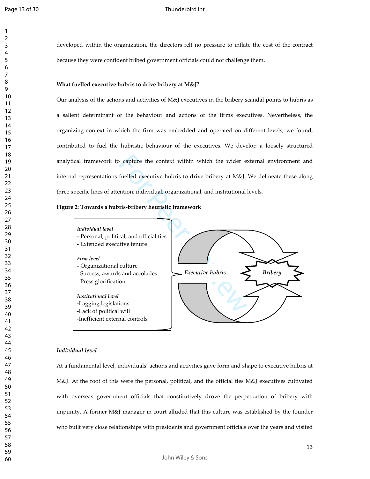> 

developed within the organization, the directors felt no pressure to inflate the cost of the contract because they were confident bribed government officials could not challenge them.

#### **What fuelled executive hubris to drive bribery at M&J?**

Our analysis of the actions and activities of M&J executives in the bribery scandal points to hubris as a salient determinant of the behaviour and actions of the firms executives. Nevertheless, the organizing context in which the firm was embedded and operated on different levels, we found, contributed to fuel the hubristic behaviour of the executives. We develop a loosely structured analytical framework to capture the context within which the wider external environment and internal representations fuelled executive hubris to drive bribery at M&J. We delineate these along three specific lines of attention; individual, organizational, and institutional levels.

#### **Figure 2: Towards a hubris-bribery heuristic framework**



- *-* Personal, political, and official ties
- Extended executive tenure

#### *Firm level*

- *-* Organizational culture
- Success, awards and accolades
- Press glorification
- *Institutional level* **-**Lagging legislations -Lack of political will -Inefficient external controls



#### *Individual level*

At a fundamental level, individuals' actions and activities gave form and shape to executive hubris at M&J. At the root of this were the personal, political, and the official ties M&J executives cultivated with overseas government officials that constitutively drove the perpetuation of bribery with impunity. A former M&J manager in court alluded that this culture was established by the founder who built very close relationships with presidents and government officials over the years and visited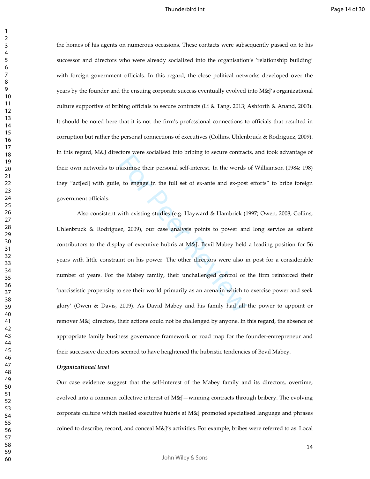the homes of his agents on numerous occasions. These contacts were subsequently passed on to his successor and directors who were already socialized into the organisation's 'relationship building' with foreign government officials. In this regard, the close political networks developed over the years by the founder and the ensuing corporate success eventually evolved into M&J's organizational culture supportive of bribing officials to secure contracts (Li & Tang, 2013; Ashforth & Anand, 2003). It should be noted here that it is not the firm's professional connections to officials that resulted in corruption but rather the personal connections of executives (Collins, Uhlenbruck & Rodriguez, 2009). In this regard, M&J directors were socialised into bribing to secure contracts, and took advantage of their own networks to maximise their personal self-interest. In the words of Williamson (1984: 198) they "act[ed] with guile, to engage in the full set of ex-ante and ex-post efforts" to bribe foreign government officials.

naximise their personal self-interest. In the words<br>the verse conduct a model of ex-ante and ex-post<br>to engage in the full set of ex-ante and ex-post<br>with existing studies (e.g. Hayward & Hambrick (1<br>ez, 2009), our case an Also consistent with existing studies (e.g. Hayward & Hambrick (1997; Owen, 2008; Collins, Uhlenbruck & Rodriguez, 2009), our case analysis points to power and long service as salient contributors to the display of executive hubris at M&J. Bevil Mabey held a leading position for 56 years with little constraint on his power. The other directors were also in post for a considerable number of years. For the Mabey family, their unchallenged control of the firm reinforced their 'narcissistic propensity to see their world primarily as an arena in which to exercise power and seek glory' (Owen & Davis, 2009). As David Mabey and his family had all the power to appoint or remover M&J directors, their actions could not be challenged by anyone. In this regard, the absence of appropriate family business governance framework or road map for the founder-entrepreneur and their successive directors seemed to have heightened the hubristic tendencies of Bevil Mabey.

#### *Organizational level*

Our case evidence suggest that the self-interest of the Mabey family and its directors, overtime, evolved into a common collective interest of  $M\&I$ —winning contracts through bribery. The evolving corporate culture which fuelled executive hubris at M&J promoted specialised language and phrases coined to describe, record, and conceal M&J's activities. For example, bribes were referred to as: Local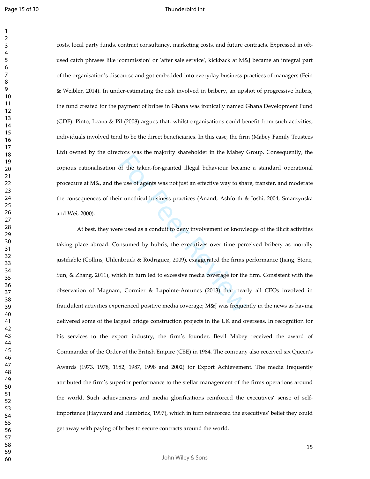costs, local party funds, contract consultancy, marketing costs, and future contracts. Expressed in oftused catch phrases like 'commission' or 'after sale service', kickback at M&J became an integral part of the organisation's discourse and got embedded into everyday business practices of managers (Fein & Weibler, 2014). In under-estimating the risk involved in bribery, an upshot of progressive hubris, the fund created for the payment of bribes in Ghana was ironically named Ghana Development Fund (GDF). Pinto, Leana & Pil (2008) argues that, whilst organisations could benefit from such activities, individuals involved tend to be the direct beneficiaries. In this case, the firm (Mabey Family Trustees Ltd) owned by the directors was the majority shareholder in the Mabey Group. Consequently, the copious rationalisation of the taken-for-granted illegal behaviour became a standard operational procedure at M&, and the use of agents was not just an effective way to share, transfer, and moderate the consequences of their unethical business practices (Anand, Ashforth & Joshi, 2004; Smarzynska and Wei, 2000).

For Presenting and English, parameterism in the interest of the taken-for-granted illegal behaviour became<br>e use of agents was not just an effective way to share in unethical business practices (Anand, Ashforth &<br>reviewed At best, they were used as a conduit to deny involvement or knowledge of the illicit activities taking place abroad. Consumed by hubris, the executives over time perceived bribery as morally justifiable (Collins, Uhlenbruck & Rodriguez, 2009), exaggerated the firms performance (Jiang, Stone, Sun, & Zhang, 2011), which in turn led to excessive media coverage for the firm. Consistent with the observation of Magnam, Cormier & Lapointe-Antunes (2013) that nearly all CEOs involved in fraudulent activities experienced positive media coverage; M&J was frequently in the news as having delivered some of the largest bridge construction projects in the UK and overseas. In recognition for his services to the export industry, the firm's founder, Bevil Mabey received the award of Commander of the Order of the British Empire (CBE) in 1984. The company also received six Queen's Awards (1973, 1978, 1982, 1987, 1998 and 2002) for Export Achievement. The media frequently attributed the firm's superior performance to the stellar management of the firms operations around the world. Such achievements and media glorifications reinforced the executives' sense of selfimportance (Hayward and Hambrick, 1997), which in turn reinforced the executives' belief they could get away with paying of bribes to secure contracts around the world.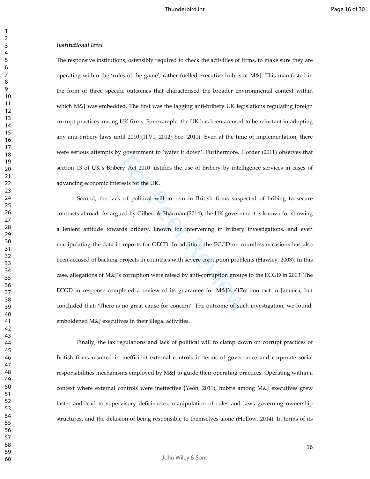#### *Institutional level*

The responsive institutions, ostensibly required to check the activities of firms, to make sure they are operating within the 'rules of the game', rather fuelled executive hubris at M&J. This manifested in the form of three specific outcomes that characterised the broader environmental context within which M&J was embedded. The first was the lagging anti-bribery UK legislations regulating foreign corrupt practices among UK firms. For example, the UK has been accused to be reluctant in adopting any anti-bribery laws until 2010 (ITV1, 2012; Yeo, 2011). Even at the time of implementation, there were serious attempts by government to 'water it down'. Furthermore, Horder (2011) observes that section 13 of UK's Bribery Act 2010 justifies the use of bribery by intelligence services in cases of advancing economic interests for the UK.

For Act 2010 justifies the use of bribery by intelliguents for the UK.<br>
Exercise for the UK.<br>
So for political will to rein in British firms suspected by Gilbert & Sharman (2014), the UK governm<br>
rds bribery, known for int Second, the lack of political will to rein in British firms suspected of bribing to secure contracts abroad. As argued by Gilbert & Sharman (2014), the UK government is known for showing a lenient attitude towards bribery, known for intervening in bribery investigations, and even manipulating the data in reports for OECD. In addition, the ECGD on countless occasions has also been accused of backing projects in countries with severe corruption problems (Hawley, 2003). In this case, allegations of M&J's corruption were raised by anti-corruption groups to the ECGD in 2003. The ECGD in response completed a review of its guarantee for  $M\&V$ 's £17m contract in Jamaica, but concluded that: 'There is no great cause for concern'. The outcome of such investigation, we found, emboldened M&J executives in their illegal activities.

 Finally, the lax regulations and lack of political will to clamp down on corrupt practices of British firms resulted in inefficient external controls in terms of governance and corporate social responsibilities mechanisms employed by M&J to guide their operating practices. Operating within a context where external controls were ineffective (Yeoh, 2011), hubris among M&J executives grew faster and lead to supervisory deficiencies, manipulation of rules and laws governing ownership structures, and the delusion of being responsible to themselves alone (Hollow, 2014). In terms of its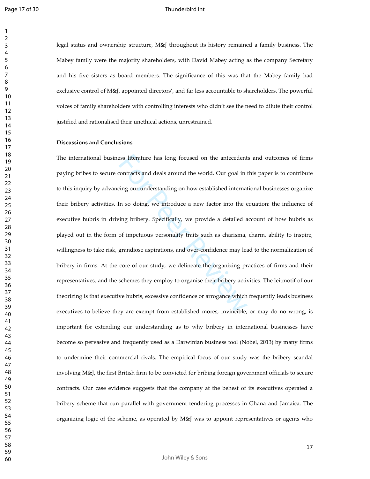legal status and ownership structure, M&J throughout its history remained a family business. The Mabey family were the majority shareholders, with David Mabey acting as the company Secretary and his five sisters as board members. The significance of this was that the Mabey family had exclusive control of M&J, appointed directors', and far less accountable to shareholders. The powerful voices of family shareholders with controlling interests who didn't see the need to dilute their control justified and rationalised their unethical actions, unrestrained.

#### **Discussions and Conclusions**

sess literature has long focused on the antecedent<br>contracts and deals around the world. Our goal in t<br>ing our understanding on how established internat<br>fin so doing, we introduce a new factor into the e<br>ing bribery. Speci The international business literature has long focused on the antecedents and outcomes of firms paying bribes to secure contracts and deals around the world. Our goal in this paper is to contribute to this inquiry by advancing our understanding on how established international businesses organize their bribery activities. In so doing, we introduce a new factor into the equation: the influence of executive hubris in driving bribery. Specifically, we provide a detailed account of how hubris as played out in the form of impetuous personality traits such as charisma, charm, ability to inspire, willingness to take risk, grandiose aspirations, and over-confidence may lead to the normalization of bribery in firms. At the core of our study, we delineate the organizing practices of firms and their representatives, and the schemes they employ to organise their bribery activities. The leitmotif of our theorizing is that executive hubris, excessive confidence or arrogance which frequently leads business executives to believe they are exempt from established mores, invincible, or may do no wrong, is important for extending our understanding as to why bribery in international businesses have become so pervasive and frequently used as a Darwinian business tool (Nobel, 2013) by many firms to undermine their commercial rivals. The empirical focus of our study was the bribery scandal involving M&J, the first British firm to be convicted for bribing foreign government officials to secure contracts. Our case evidence suggests that the company at the behest of its executives operated a bribery scheme that run parallel with government tendering processes in Ghana and Jamaica. The organizing logic of the scheme, as operated by M&J was to appoint representatives or agents who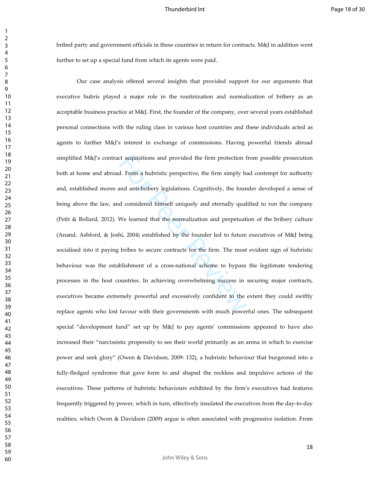bribed party and government officials in these countries in return for contracts. M&J in addition went further to set up a special fund from which its agents were paid.

ct acquisitions and provided the firm protection f<br>d. From a hubristic perspective, the firm simply ha<br>and anti-bribery legislations. Cognitively, the foun<br>d considered himself uniquely and eternally qual<br>We learned that t Our case analysis offered several insights that provided support for our arguments that executive hubris played a major role in the routinization and normalization of bribery as an acceptable business practice at M&J. First, the founder of the company, over several years established personal connections with the ruling class in various host countries and these individuals acted as agents to further M&J's interest in exchange of commissions. Having powerful friends abroad simplified M&J's contract acquisitions and provided the firm protection from possible prosecution both at home and abroad. From a hubristic perspective, the firm simply had contempt for authority and, established mores and anti-bribery legislations. Cognitively, the founder developed a sense of being above the law, and considered himself uniquely and eternally qualified to run the company (Petit & Bollard, 2012). We learned that the normalization and perpetuation of the bribery culture (Anand, Ashford, & Joshi, 2004) established by the founder led to future executives of M&J being socialised into it paying bribes to secure contracts for the firm. The most evident sign of hubristic behaviour was the establishment of a cross-national scheme to bypass the legitimate tendering processes in the host countries. In achieving overwhelming success in securing major contracts, executives became extremely powerful and excessively confident to the extent they could swiftly replace agents who lost favour with their governments with much powerful ones. The subsequent special "development fund" set up by M&J to pay agents' commissions appeared to have also increased their "narcissistic propensity to see their world primarily as an arena in which to exercise power and seek glory" (Owen & Davidson, 2009: 132), a hubristic behaviour that burgeoned into a fully-fledged syndrome that gave form to and shaped the reckless and impulsive actions of the executives. These patterns of hubristic behaviours exhibited by the firm's executives had features frequently triggered by power, which in turn, effectively insulated the executives from the day-to-day realities, which Owen & Davidson (2009) argue is often associated with progressive isolation. From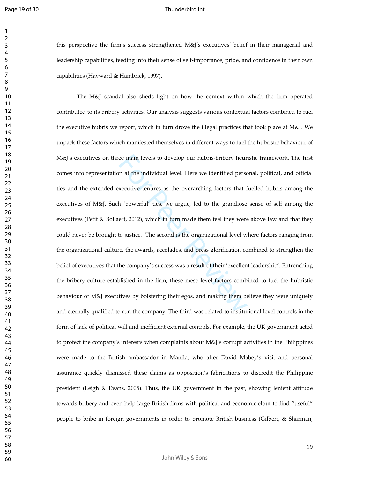Page 19 of 30

#### Thunderbird Int

this perspective the firm's success strengthened M&J's executives' belief in their managerial and leadership capabilities, feeding into their sense of self-importance, pride, and confidence in their own capabilities (Hayward & Hambrick, 1997).

ee main levels to develop our hubris-bribery heur<br>n at the individual level. Here we identified person<br>xecutive tenures as the overarching factors that f<br>is a very denote the secution of the strandiose<br>ert, 2012), which in The M&J scandal also sheds light on how the context within which the firm operated contributed to its bribery activities. Our analysis suggests various contextual factors combined to fuel the executive hubris we report, which in turn drove the illegal practices that took place at M&J. We unpack these factors which manifested themselves in different ways to fuel the hubristic behaviour of M&J's executives on three main levels to develop our hubris-bribery heuristic framework. The first comes into representation at the individual level. Here we identified personal, political, and official ties and the extended executive tenures as the overarching factors that fuelled hubris among the executives of M&J. Such 'powerful' ties, we argue, led to the grandiose sense of self among the executives (Petit & Bollaert, 2012), which in turn made them feel they were above law and that they could never be brought to justice. The second is the organizational level where factors ranging from the organizational culture, the awards, accolades, and press glorification combined to strengthen the belief of executives that the company's success was a result of their 'excellent leadership'. Entrenching the bribery culture established in the firm, these meso-level factors combined to fuel the hubristic behaviour of M&J executives by bolstering their egos, and making them believe they were uniquely and eternally qualified to run the company. The third was related to institutional level controls in the form of lack of political will and inefficient external controls. For example, the UK government acted to protect the company's interests when complaints about M&J's corrupt activities in the Philippines were made to the British ambassador in Manila; who after David Mabey's visit and personal assurance quickly dismissed these claims as opposition's fabrications to discredit the Philippine president (Leigh & Evans, 2005). Thus, the UK government in the past, showing lenient attitude towards bribery and even help large British firms with political and economic clout to find "useful" people to bribe in foreign governments in order to promote British business (Gilbert, & Sharman,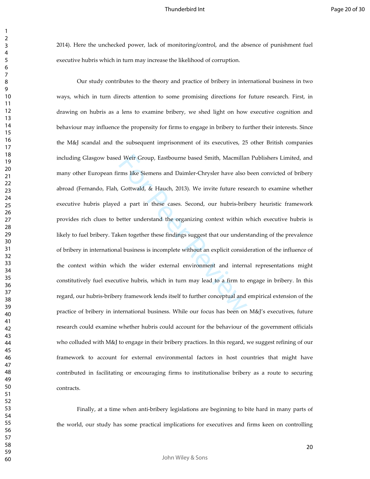2014). Here the unchecked power, lack of monitoring/control, and the absence of punishment fuel executive hubris which in turn may increase the likelihood of corruption.

d Weir Group, Eastbourne based Smith, Macmillar<br>rms like Siemens and Daimler-Chrysler have also l<br>Gottwald, & Hauch, 2013). We invite future rese<br>1 a part in these cases. Second, our hubris-brib<br>better understand the organ Our study contributes to the theory and practice of bribery in international business in two ways, which in turn directs attention to some promising directions for future research. First, in drawing on hubris as a lens to examine bribery, we shed light on how executive cognition and behaviour may influence the propensity for firms to engage in bribery to further their interests. Since the M&J scandal and the subsequent imprisonment of its executives, 25 other British companies including Glasgow based Weir Group, Eastbourne based Smith, Macmillan Publishers Limited, and many other European firms like Siemens and Daimler-Chrysler have also been convicted of bribery abroad (Fernando, Flah, Gottwald, & Hauch, 2013). We invite future research to examine whether executive hubris played a part in these cases. Second, our hubris-bribery heuristic framework provides rich clues to better understand the organizing context within which executive hubris is likely to fuel bribery. Taken together these findings suggest that our understanding of the prevalence of bribery in international business is incomplete without an explicit consideration of the influence of the context within which the wider external environment and internal representations might constitutively fuel executive hubris, which in turn may lead to a firm to engage in bribery. In this regard, our hubris-bribery framework lends itself to further conceptual and empirical extension of the practice of bribery in international business. While our focus has been on M&J's executives, future research could examine whether hubris could account for the behaviour of the government officials who colluded with M&J to engage in their bribery practices. In this regard, we suggest refining of our framework to account for external environmental factors in host countries that might have contributed in facilitating or encouraging firms to institutionalise bribery as a route to securing contracts.

 Finally, at a time when anti-bribery legislations are beginning to bite hard in many parts of the world, our study has some practical implications for executives and firms keen on controlling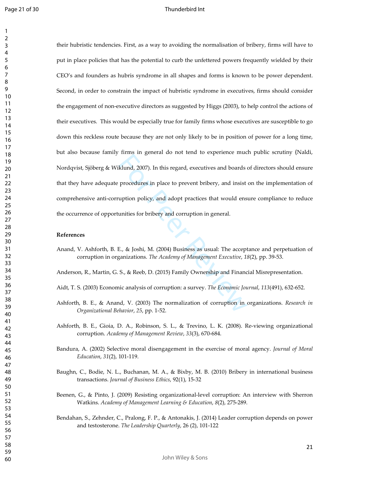#### Thunderbird Int

klund, 2007). In this regard, executives and boards of procedures in place to prevent bribery, and insist uption policy, and adopt practices that would ensumities for bribery and corruption in general.<br>E., & Joshi, M. (200 their hubristic tendencies. First, as a way to avoiding the normalisation of bribery, firms will have to put in place policies that has the potential to curb the unfettered powers frequently wielded by their CEO's and founders as hubris syndrome in all shapes and forms is known to be power dependent. Second, in order to constrain the impact of hubristic syndrome in executives, firms should consider the engagement of non-executive directors as suggested by Higgs (2003), to help control the actions of their executives. This would be especially true for family firms whose executives are susceptible to go down this reckless route because they are not only likely to be in position of power for a long time, but also because family firms in general do not tend to experience much public scrutiny (Naldi, Nordqvist, Sjöberg & Wiklund, 2007). In this regard, executives and boards of directors should ensure that they have adequate procedures in place to prevent bribery, and insist on the implementation of comprehensive anti-corruption policy, and adopt practices that would ensure compliance to reduce the occurrence of opportunities for bribery and corruption in general.

#### **References**

Anand, V. Ashforth, B. E., & Joshi, M. (2004) Business as usual: The acceptance and perpetuation of corruption in organizations. *The Academy of Management Executive*, *18*(2), pp. 39-53.

Anderson, R., Martin, G. S., & Reeb, D. (2015) Family Ownership and Financial Misrepresentation.

- Aidt, T. S. (2003) Economic analysis of corruption: a survey. *The Economic Journal*, *113*(491), 632-652.
- Ashforth, B. E., & Anand, V. (2003) The normalization of corruption in organizations. *Research in Organizational Behavior*, *25*, pp. 1-52.
- Ashforth, B. E., Gioia, D. A., Robinson, S. L., & Trevino, L. K. (2008). Re-viewing organizational corruption. *Academy of Management Review*, *33*(3), 670-684.
- Bandura, A. (2002) Selective moral disengagement in the exercise of moral agency. *Journal of Moral Education*, *31*(2), 101-119.
- Baughn, C., Bodie, N. L., Buchanan, M. A., & Bixby, M. B. (2010) Bribery in international business transactions. *Journal of Business Ethics*, 92(1), 15-32
- Beenen, G., & Pinto, J. (2009) Resisting organizational-level corruption: An interview with Sherron Watkins. *Academy of Management Learning & Education*, *8*(2), 275-289.
- Bendahan, S., Zehnder, C., Pralong, F. P., & Antonakis, J. (2014) Leader corruption depends on power and testosterone. *The Leadership Quarterly*, 26 (2), 101-122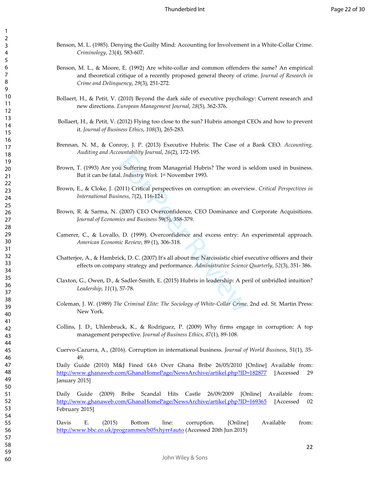- Benson, M. L. (1985). Denying the Guilty Mind: Accounting for Involvement in a White-Collar Crime. *Criminology*, *23*(4), 583-607.
- Benson, M. L., & Moore, E. (1992) Are white-collar and common offenders the same? An empirical and theoretical critique of a recently proposed general theory of crime. *Journal of Research in Crime and Delinquency*, *29*(3), 251-272.
- Bollaert, H., & Petit, V. (2010) Beyond the dark side of executive psychology: Current research and new directions. *European Management Journal*, *28*(5), 362-376.
- Bollaert, H., & Petit, V. (2012) Flying too close to the sun? Hubris amongst CEOs and how to prevent it. *Journal of Business Ethics*, *108*(3), 265-283.
- Brennan, N. M., & Conroy, J. P. (2013) Executive Hubris: The Case of a Bank CEO. *Accounting, Auditing and Accountability Journal*, *26*(2), 172-195.
- Brown, T. (1993) Are you Suffering from Managerial Hubris? The word is seldom used in business. But it can be fatal. *Industry Week.* 1 st November 1993.
- Brown, E., & Cloke, J. (2011) Critical perspectives on corruption: an overview. *Critical Perspectives in International Business*, *7*(2), 116-124.
- Brown, R. & Sarma, N. (2007) CEO Overconfidence, CEO Dominance and Corporate Acquisitions*. Journal of Economics and Business* 59(5), 358-379.
- Camerer, C., & Lovallo, D. (1999). Overconfidence and excess entry: An experimental approach. *American Economic Review*, 89 (1), 306-318.
- Example 1920 Inc. 1920.<br>
2011) Critical perspectives on corruption: an overvi<br>
1. *Industry Week.* 1<sup>st</sup> November 1993.<br>
1011) Critical perspectives on corruption: an overvi<br>
1085, 7(2), 116-124.<br>
(2007) CEO Overconfidence Chatterjee, A., & Hambrick, D. C. (2007) It's all about me: Narcissistic chief executive officers and their effects on company strategy and performance. *Administrative Science Quarterly*, *52*(3), 351- 386.
- Claxton, G., Owen, D., & Sadler-Smith, E. (2015) Hubris in leadership: A peril of unbridled intuition? *Leadership*, *11*(1), 57-78.
- Coleman, J. W. (1989) *The Criminal Elite: The Sociology of White-Collar Crime*. 2nd ed. St. Martin Press: New York.
- Collins, J. D., Uhlenbruck, K., & Rodriguez, P. (2009) Why firms engage in corruption: A top management perspective. *Journal of Business Ethics*, *87*(1), 89-108.
- Cuervo-Cazurra, A., (2016). Corruption in international business. *Journal of World Business*, 51(1), 35- 49.

Daily Guide (2010) M&J Fined £4.6 Over Ghana Bribe 26/05/2010 [Online] Available from: http://www.ghanaweb.com/GhanaHomePage/NewsArchive/artikel.php?ID=182877 [Accessed 29 January 2015]

Daily Guide (2009) Bribe Scandal Hits Castle 26/09/2009 [Online] Available from: http://www.ghanaweb.com/GhanaHomePage/NewsArchive/artikel.php?ID=169365 [Accessed 02 February 2015]

Davis E. (2015) Bottom line: corruption. [Online] Available from: http://www.bbc.co.uk/programmes/b05xhyrr#auto (Accessed 20th Jun 2015)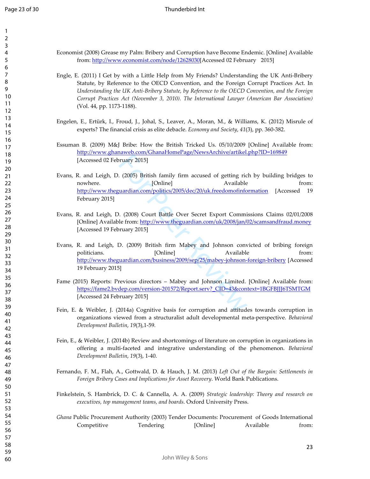| 1               |  |
|-----------------|--|
| 2               |  |
| 3               |  |
| 4               |  |
| 5               |  |
| 6               |  |
|                 |  |
| 8               |  |
| 9               |  |
| 10              |  |
| 11              |  |
| 12              |  |
| 3<br>1          |  |
| 4<br>1          |  |
| 15              |  |
|                 |  |
| 16              |  |
| 1               |  |
| 18              |  |
| 19              |  |
| 20              |  |
| $\overline{21}$ |  |
| $^{22}$         |  |
| 23              |  |
| 24              |  |
| 25              |  |
| 26              |  |
| 27              |  |
| 28              |  |
| 29              |  |
| 30              |  |
| 31              |  |
| 32              |  |
| 33              |  |
| 34              |  |
| 35              |  |
| 36              |  |
| 37              |  |
| 38              |  |
|                 |  |
| 39              |  |
| 40<br>41        |  |
|                 |  |
| 42              |  |
| 43              |  |
| 44              |  |
| 45              |  |
| 46              |  |
| 47              |  |
| 48              |  |
| 49              |  |
| 50              |  |
| 51              |  |
| 52              |  |
| 53              |  |
| 54              |  |
| 55              |  |
| 56              |  |
| 57              |  |
| 58              |  |
| 59              |  |
|                 |  |

Economist (2008) Grease my Palm: Bribery and Corruption have Become Endemic. [Online] Available from: http://www.economist.com/node/12628030[Accessed 02 February 2015]

- Engle, E. (2011) I Get by with a Little Help from My Friends? Understanding the UK Anti-Bribery Statute, by Reference to the OECD Convention, and the Foreign Corrupt Practices Act. In *Understanding the UK Anti-Bribery Statute, by Reference to the OECD Convention, and the Foreign Corrupt Practices Act (November 3, 2010). The International Lawyer (American Bar Association)* (Vol. 44, pp. 1173-1188).
- Engelen, E., Ertürk, I., Froud, J., Johal, S., Leaver, A., Moran, M., & Williams, K. (2012) Misrule of experts? The financial crisis as elite debacle. *Economy and Society*, *41*(3), pp. 360-382.
- Essuman B. (2009) M&J Bribe: How the British Tricked Us. 05/10/2009 [Online] Available from: http://www.ghanaweb.com/GhanaHomePage/NewsArchive/artikel.php?ID=169849 [Accessed 02 February 2015]
- Example 18 (2005) British family firm accused of getting rice [Online]<br>
(2005) British family firm accused of getting rice [Online]<br>
(2008) Court Battle Over Secret Export Commi<br>
le from: http://www.theguardian.com/uk/2008 Evans, R. and Leigh, D. (2005) British family firm accused of getting rich by building bridges to nowhere. [Online] Available from: http://www.theguardian.com/politics/2005/dec/20/uk.freedomofinformation [Accessed 19 February 2015]
- Evans, R. and Leigh, D. (2008) Court Battle Over Secret Export Commissions Claims 02/01/2008 [Online] Available from: http://www.theguardian.com/uk/2008/jan/02/scamsandfraud.money [Accessed 19 February 2015]
- Evans, R. and Leigh, D. (2009) British firm Mabey and Johnson convicted of bribing foreign politicians. [Online] Available from: http://www.theguardian.com/business/2009/sep/25/mabey-johnson-foreign-bribery [Accessed 19 February 2015]
- Fame (2015) Reports: Previous directors Mabey and Johnson Limited. [Online] Available from: https://fame2.bvdep.com/version-201572/Report.serv?\_CID=43&context=1BGFBJJJ6TSMTGM [Accessed 24 February 2015]
- Fein, E. & Weibler, J. (2014a) Cognitive basis for corruption and attitudes towards corruption in organizations viewed from a structuralist adult developmental meta-perspective. *Behavioral Development Bulletin*, *19*(3),1-59.
- Fein, E., & Weibler, J. (2014b) Review and shortcomings of literature on corruption in organizations in offering a multi-faceted and integrative understanding of the phenomenon. *Behavioral Development Bulletin*, *19*(3), 1-40.
- Fernando, F. M., Flah, A., Gottwald, D. & Hauch, J. M. (2013) *Left Out of the Bargain: Settlements in Foreign Bribery Cases and Implications for Asset Recovery*. World Bank Publications.
- Finkelstein, S. Hambrick, D. C. & Cannella, A. A. (2009) *Strategic leadership: Theory and research on executives, top management teams, and boards*. Oxford University Press.
- *Ghana* Public Procurement Authority (2003) Tender Documents: Procurement of Goods International Competitive Tendering [Online] Available from: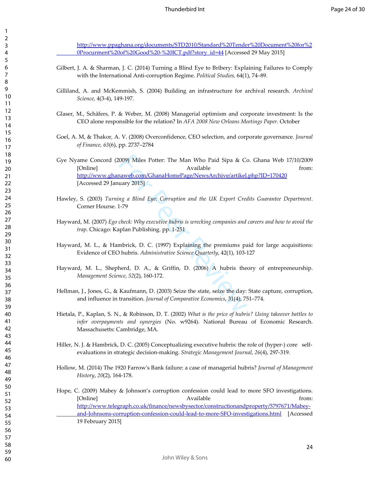http://www.ppaghana.org/documents/STD2010/Standard%20Tender%20Document%20for%2 0Procurment%20of%20Good%20-%20ICT.pdf?story\_id=44 [Accessed 29 May 2015]

- Gilbert, J. A. & Sharman, J. C. (2014) Turning a Blind Eye to Bribery: Explaining Failures to Comply with the International Anti-corruption Regime. *Political Studies,* 64(1), 74–89.
- Gilliland, A. and McKemmish, S. (2004) Building an infrastructure for archival research. *Archival Science*, 4(3-4), 149-197.
- Glaser, M., Schäfers, P. & Weber, M. (2008) Managerial optimism and corporate investment: Is the CEO alone responsible for the relation? In *AFA 2008 New Orleans Meetings Paper*. October
- Goel, A. M, & Thakor, A. V. (2008) Overconfidence, CEO selection, and corporate governance. *Journal of Finance, 63*(6), pp. 2737–2784
- (009) Miles Potter: The Man Who Paid Sipa & Compare Revisible<br>
Available<br>
haweb.com/GhanaHomePage/NewsArchive/artikel.<br>
uary 2015]<br> *ng a Blind Eye: Corruption and the UK Export Crea*<br>
1-79<br> *check: Why executive hubris i* Gye Nyame Concord (2009) Miles Potter: The Man Who Paid Sipa & Co. Ghana Web 17/10/2009 [Online] **Available** from: http://www.ghanaweb.com/GhanaHomePage/NewsArchive/artikel.php?ID=170420 [Accessed 29 January 2015]
- Hawley, S. (2003) *Turning a Blind Eye: Corruption and the UK Export Credits Guarantee Department*. Corner Hourse. 1-79
- Hayward, M. (2007) *Ego check: Why executive hubris is wrecking companies and careers and how to avoid the trap*. Chicago: Kaplan Publishing. pp. 1-251
- Hayward, M. L., & Hambrick, D. C. (1997) Explaining the premiums paid for large acquisitions: Evidence of CEO hubris. *Administrative Science Quarterly*, 42(1), 103-127
- Hayward, M. L., Shepherd, D. A., & Griffin, D. (2006) A hubris theory of entrepreneurship. *Management Science*, *52*(2), 160-172.
- Hellman, J., Jones, G., & Kaufmann, D. (2003) Seize the state, seize the day: State capture, corruption, and influence in transition. *Journal of Comparative Economics*, 31(4), 751–774.
- Hietala, P., Kaplan, S. N., & Robinson, D. T. (2002) *What is the price of hubris? Using takeover battles to infer overpayments and synergies* (No. w9264). National Bureau of Economic Research. Massachusetts: Cambridge, MA.
- Hiller, N. J. & Hambrick, D. C. (2005) Conceptualizing executive hubris: the role of (hyper-) core self evaluations in strategic decision-making. *Strategic Management Journal*, *26*(4), 297-319.
- Hollow, M. (2014) The 1920 Farrow's Bank failure: a case of managerial hubris? *Journal of Management History*, *20*(2), 164-178.
- Hope, C. (2009) Mabey & Johnson's corruption confession could lead to more SFO investigations. [Online] The contract of the contract of the contract of the contract of the contract of the contract of the contract of the contract of the contract of the contract of the contract of the contract of the contract of the c http://www.telegraph.co.uk/finance/newsbysector/constructionandproperty/5797671/Mabey and-Johnsons-corruption-confession-could-lead-to-more-SFO-investigations.html [Accessed 19 February 2015]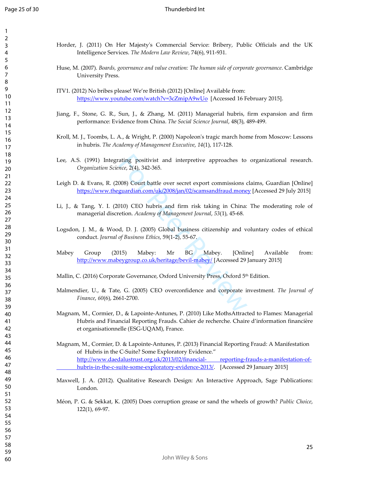| 1                   |  |
|---------------------|--|
| 2                   |  |
| 3                   |  |
| 4                   |  |
| 5                   |  |
| 6                   |  |
|                     |  |
| 8                   |  |
|                     |  |
| 9                   |  |
| 10                  |  |
| $\mathbf{1}$<br>1   |  |
| 1.<br>2             |  |
| 13                  |  |
| 14                  |  |
| 15                  |  |
| 16                  |  |
| 17                  |  |
| 18                  |  |
| 19                  |  |
|                     |  |
| 20                  |  |
| $\overline{21}$     |  |
| $\overline{c}$<br>2 |  |
| 23                  |  |
| 24                  |  |
| 25                  |  |
| 26                  |  |
| 27                  |  |
| 28                  |  |
| 29                  |  |
|                     |  |
| 30                  |  |
| $\overline{31}$     |  |
| 3<br>2              |  |
| 33                  |  |
| 34                  |  |
| 35                  |  |
| 36                  |  |
| 37                  |  |
| 38                  |  |
| 39                  |  |
| 40                  |  |
| 41                  |  |
|                     |  |
| 42                  |  |
| 43                  |  |
| 44                  |  |
| 45                  |  |
| 46                  |  |
| 47                  |  |
| 48                  |  |
| 49                  |  |
| 50                  |  |
| 51                  |  |
| 52                  |  |
| 53                  |  |
|                     |  |
| 54                  |  |
| 55                  |  |
| 56                  |  |
| 57                  |  |
| 58                  |  |
| 59                  |  |

60

Horder, J. (2011) On Her Majesty's Commercial Service: Bribery, Public Officials and the UK Intelligence Services. *The Modern Law Review*, 74(6), 911-931.

- Huse, M. (2007). *Boards, governance and value creation: The human side of corporate governance*. Cambridge University Press.
- ITV1. (2012) No bribes please! We're British (2012) [Online] Available from: https://www.youtube.com/watch?v=3cZmipA9wUo [Accessed 16 February 2015].
- Jiang, F., Stone, G. R., Sun, J., & Zhang, M. (2011) Managerial hubris, firm expansion and firm performance: Evidence from China. *The Social Science Journal*, 48(3), 489-499.
- Kroll, M. J., Toombs, L. A., & Wright, P. (2000) Napoleon's tragic march home from Moscow: Lessons in hubris. *The Academy of Management Executive*, *14*(1), 117-128.
- ating positivist and interpretive approaches to<br> *nce,* 2(4), 342-365.<br>
008) Court battle over secret export commissions controlled and the over secret export commissions controlled and the section. Academy of Management J Lee, A.S. (1991) Integrating positivist and interpretive approaches to organizational research. *Organization Science*, 2(4), 342-365.
- Leigh D. & Evans, R. (2008) Court battle over secret export commissions claims, Guardian [Online] https://www.theguardian.com/uk/2008/jan/02/scamsandfraud.money [Accessed 29 July 2015]
- Li, J., & Tang, Y. I. (2010) CEO hubris and firm risk taking in China: The moderating role of managerial discretion. *Academy of Management Journal*, *53*(1), 45-68.
- Logsdon, J. M., & Wood, D. J. (2005) Global business citizenship and voluntary codes of ethical conduct. *Journal of Business Ethics*, 59(1-2), 55-67.
- Mabey Group (2015) Mabey: Mr BG Mabey. [Online] Available from: http://www.mabeygroup.co.uk/heritage/bevil-mabey/ [Accessed 29 January 2015]
- Mallin, C. (2016) Corporate Governance, Oxford University Press, Oxford 5<sup>th</sup> Edition.
- Malmendier, U., & Tate, G. (2005) CEO overconfidence and corporate investment. *The Journal of Finance*, *60*(6), 2661-2700.
- Magnam, M., Cormier, D., & Lapointe-Antunes, P. (2010) Like MothsAttracted to Flames: Managerial Hubris and Financial Reporting Frauds. Cahier de recherche. Chaire d'information financière et organisationnelle (ESG-UQAM), France.
- Magnam, M., Cormier, D. & Lapointe-Antunes, P. (2013) Financial Reporting Fraud: A Manifestation of Hubris in the C-Suite? Some Exploratory Evidence." http://www.daedalustrust.org.uk/2013/02/financial- reporting-frauds-a-manifestation-of hubris-in-the-c-suite-some-exploratory-evidence-2013/. [Accessed 29 January 2015]
- Maxwell, J. A. (2012). Qualitative Research Design: An Interactive Approach, Sage Publications: London.
- Méon, P. G. & Sekkat, K. (2005) Does corruption grease or sand the wheels of growth? *Public Choice*, 122(1), 69-97.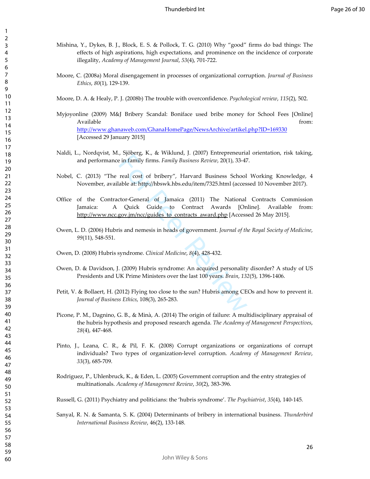- Mishina, Y., Dykes, B. J., Block, E. S. & Pollock, T. G. (2010) Why "good" firms do bad things: The effects of high aspirations, high expectations, and prominence on the incidence of corporate illegality, *Academy of Management Journal*, *53*(4), 701-722.
- Moore, C. (2008a) Moral disengagement in processes of organizational corruption. *Journal of Business Ethics*, *80*(1), 129-139.
- Moore, D. A. & Healy, P. J. (2008b) The trouble with overconfidence. *Psychological review*, *115*(2), 502.
- Myjoyonline (2009) M&J Bribery Scandal: Boniface used bribe money for School Fees [Online] Available from: http://www.ghanaweb.com/GhanaHomePage/NewsArchive/artikel.php?ID=169330 [Accessed 29 January 2015]
- Naldi, L., Nordqvist, M., Sjöberg, K., & Wiklund, J. (2007) Entrepreneurial orientation, risk taking, and performance in family firms. *Family Business Review*, 20(1), 33-47.
- Nobel, C. (2013) "The real cost of bribery", Harvard Business School Working Knowledge, 4 November, available at: http://hbswk.hbs.edu/item/7325.html (accessed 10 November 2017).
- For Peer Revise and Ninky 1. (2007) Enterpreted and<br>
in family firms. Family Business Review, 20(1), 33-47<br>
real cost of bribery", Harvard Business School<br>
able at: http://hbswk.hbs.edu/item/7325.html (access<br>
ctor-Genera Office of the Contractor-General of Jamaica (2011) The National Contracts Commission Jamaica: A Quick Guide to Contract Awards [Online]. Available from: http://www.ncc.gov.jm/ncc/guides\_to\_contracts\_award.php [Accessed 26 May 2015].
- Owen, L. D. (2006) Hubris and nemesis in heads of government. *Journal of the Royal Society of Medicine*, (11), 548-551.
- Owen, D. (2008) Hubris syndrome. *Clinical Medicine*, *8*(4), 428-432.
- Owen, D. & Davidson, J. (2009) Hubris syndrome: An acquired personality disorder? A study of US Presidents and UK Prime Ministers over the last 100 years. *Brain*, *132*(5), 1396-1406.
- Petit, V. & Bollaert, H. (2012) Flying too close to the sun? Hubris among CEOs and how to prevent it. *Journal of Business Ethics*, 108(3), 265-283.
- Picone, P. M., Dagnino, G. B., & Minà, A. (2014) The origin of failure: A multidisciplinary appraisal of the hubris hypothesis and proposed research agenda. *The Academy of Management Perspectives*, (4), 447-468.
- Pinto, J., Leana, C. R., & Pil, F. K. (2008) Corrupt organizations or organizations of corrupt individuals? Two types of organization-level corruption. *Academy of Management Review*, (3), 685-709.
- Rodriguez, P., Uhlenbruck, K., & Eden, L. (2005) Government corruption and the entry strategies of multinationals. *Academy of Management Review*, *30*(2), 383-396.
- Russell, G. (2011) Psychiatry and politicians: the 'hubris syndrome'. *The Psychiatrist*, *35*(4), 140-145.
- Sanyal, R. N. & Samanta, S. K. (2004) Determinants of bribery in international business. *Thunderbird International Business Review*, 46(2), 133-148.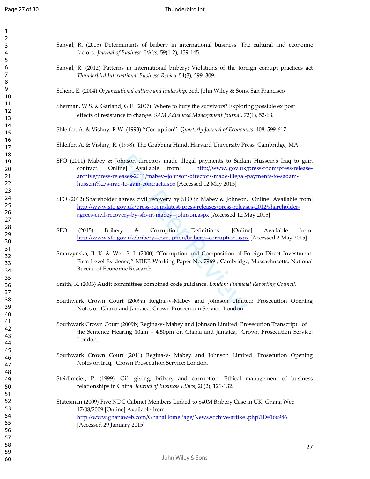| 1<br>2                                     |  |
|--------------------------------------------|--|
| 3                                          |  |
| 4                                          |  |
| 5<br>6                                     |  |
|                                            |  |
| 8                                          |  |
| 9<br>10                                    |  |
| 11                                         |  |
| $\overline{12}$<br>13                      |  |
| 4<br>1                                     |  |
| 15                                         |  |
| 16<br>1                                    |  |
| 1<br>8                                     |  |
| 19                                         |  |
| 20<br>$\overline{21}$                      |  |
| $^{22}$                                    |  |
| 23<br>$\frac{24}{3}$                       |  |
| 25                                         |  |
| 26                                         |  |
| 27<br>28                                   |  |
| 29                                         |  |
| 30                                         |  |
| $\overline{\textbf{3}}$<br>$\overline{32}$ |  |
| 33                                         |  |
| 34<br>$35^{\circ}$                         |  |
| 36                                         |  |
| $\frac{1}{2}$                              |  |
| RЯ<br>39                                   |  |
| 40                                         |  |
| 41<br>42                                   |  |
| 43                                         |  |
| 44                                         |  |
| 45<br>46                                   |  |
| 47                                         |  |
| 48                                         |  |
| 49<br>50                                   |  |
| 51                                         |  |
| 52<br>53                                   |  |
| 54                                         |  |
| 55                                         |  |
| 56<br>57                                   |  |
| 58                                         |  |
| 59                                         |  |

Sanyal, R. (2005) Determinants of bribery in international business: The cultural and economic factors. *Journal of Business Ethics*, 59(1-2), 139-145.

- Sanyal, R. (2012) Patterns in international bribery: Violations of the foreign corrupt practices act  *Thunderbird International Business Review* 54(3), 299–309.
- Schein, E. (2004) *Organizational culture and leadership.* 3ed. John Wiley & Sons. San Francisco
- Sherman, W.S. & Garland, G.E. (2007). Where to bury the survivors? Exploring possible ex post effects of resistance to change. *SAM Advanced Management Journal*, 72(1), 52-63.
- Shleifer, A. & Vishny, R.W. (1993) ''Corruption''. *Quarterly Journal of Economics*. 108, 599-617.
- Shleifer, A. & Vishny, R. (1998). The Grabbing Hand. Harvard University Press, Cambridge, MA
- bhnson directors made illegal payments to Sadar<br>
ine] Available from: http://www.gov.uk/<br>
eases-2011/mabey--johnson-directors-made-illegal-<br>
1-to-gain-contract.aspx [Accessed 12 May 2015]<br>
agrees civil recovery by SFO in M SFO (2011) Mabey & Johnson directors made illegal payments to Sadam Hussein's Iraq to gain contract. [Online] Available from: http://www..gov.uk/press-room/press-release archive/press-releases-2011/mabey--johnson-directors-made-illegal-payments-to-sadam hussein%27s-iraq-to-gain-contract.aspx [Accessed 12 May 2015]
- SFO (2012) Shareholder agrees civil recovery by SFO in Mabey & Johnson. [Online] Available from: http://www.sfo.gov.uk/press-room/latest-press-releases/press-releases-2012/shareholder agrees-civil-recovery-by-sfo-in-mabey--johnson.aspx [Accessed 12 May 2015]
- SFO (2015) Bribery & Corruption: Definitions. [Online] Available from: http://www.sfo.gov.uk/bribery--corruption/bribery--corruption.aspx [Accessed 2 May 2015]
- Smarzynska, B. K. & Wei, S. J. (2000) "Corruption and Composition of Foreign Direct Investment: Firm-Level Evidence," NBER Working Paper No. 7969 , Cambridge, Massachusetts: National Bureau of Economic Research.
- Smith, R. (2003) Audit committees combined code guidance. *London: Financial Reporting Council*.
- Southwark Crown Court (2009a) Regina-v-Mabey and Johnson Limited: Prosecution Opening Notes on Ghana and Jamaica, Crown Prosecution Service: London.
- Southwark Crown Court (2009b) Regina-v- Mabey and Johnson Limited: Prosecution Transcript of the Sentence Hearing 10am – 4.50pm on Ghana and Jamaica, Crown Prosecution Service: London.
- Southwark Crown Court (2011) Regina-v- Mabey and Johnson Limited: Prosecution Opening Notes on Iraq, Crown Prosecution Service: London.
- Steidlmeier, P. (1999). Gift giving, bribery and corruption: Ethical management of business relationships in China. *Journal of Business Ethics*, 20(2), 121-132.
- Statesman (2009) Five NDC Cabinet Members Linked to \$40M Bribery Case in UK. Ghana Web 17/08/2009 [Online] Available from: http://www.ghanaweb.com/GhanaHomePage/NewsArchive/artikel.php?ID=166986 [Accessed 29 January 2015]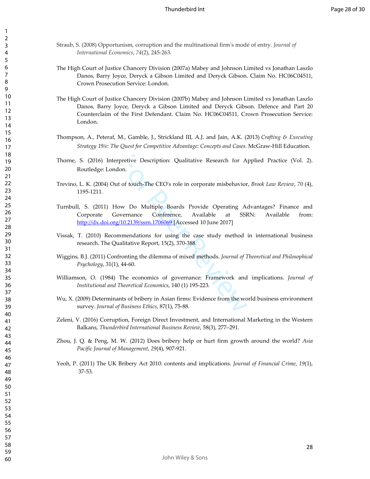- Straub, S. (2008) Opportunism, corruption and the multinational firm's mode of entry. *Journal of International Economics*, *74*(2), 245-263.
- The High Court of Justice Chancery Division (2007a) Mabey and Johnson Limited vs Jonathan Laszlo Danos, Barry Joyce, Deryck a Gibson Limited and Deryck Gibson. Claim No. HC06C04511, Crown Prosecution Service: London.
- The High Court of Justice Chancery Division (2007b) Mabey and Johnson Limited vs Jonathan Laszlo Danos, Barry Joyce, Deryck a Gibson Limited and Deryck Gibson. Defence and Part 20 Counterclaim of the First Defendant. Claim No. HC06C04511, Crown Prosecution Service: London.
- Thompson, A., Peteraf, M., Gamble, J., Strickland III, A.J. and Jain, A.K. (2013) *Crafting & Executing Strategy 19/e: The Quest for Competitive Advantage: Concepts and Cases*. McGraw-Hill Education.
- Thorne, S. (2016) Interpretive Description: Qualitative Research for Applied Practice (Vol. 2). Routledge: London.
- Trevino, L. K. (2004) Out of touch-The CEO's role in corporate misbehavior, *Brook Law Review*, *70* (4), 1195-1211.
- pretive Description: Qualitative Research for A<br>
on.<br>
t of touch-The CEO's role in corporate misbehavior<br>
www Do Multiple Boards Provide Operating A<br>
wernance Conference, Available at SSF<br>
<u>10.2139/ssrn.1706069</u> [Accessed Turnbull, S. (2011) How Do Multiple Boards Provide Operating Advantages? Finance and Corporate Governance Conference, Available at SSRN: Available from: http://dx.doi.org/10.2139/ssrn.1706069 [Accessed 10 June 2017]
- Vissak, T. (2010) Recommendations for using the case study method in international business research. The Qualitative Report, 15(2), 370-388.
- Wiggins, B.J. (2011) Confronting the dilemma of mixed methods. *Journal of Theoretical and Philosophical Psychology*, 31(1), 44-60.
- Williamson, O. (1984) The economics of governance: Framework and implications. *Journal of Institutional and Theoretical Economics*, 140 (1) 195-223.
- Wu, X. (2009) Determinants of bribery in Asian firms: Evidence from the world business environment survey. *Journal of Business Ethics*, 87(1), 75-88.
- Zeleni, V. (2016) Corruption, Foreign Direct Investment, and International Marketing in the Western Balkans, *Thunderbird International Business Review*, 58(3), 277–291.
- Zhou, J. Q. & Peng, M. W. (2012) Does bribery help or hurt firm growth around the world? *Asia Pacific Journal of Management*, *29*(4), 907-921.
- Yeoh, P. (2011) The UK Bribery Act 2010: contents and implications. *Journal of Financial Crime*, *19*(1), 37-53.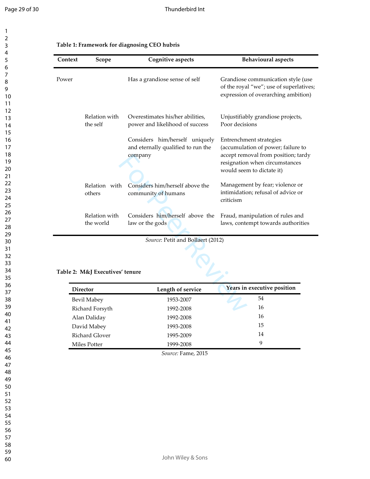$\mathbf{1}$ 

| 1<br>2                     |  |
|----------------------------|--|
| 3                          |  |
| 4<br>5                     |  |
| 6                          |  |
|                            |  |
| 8<br>9                     |  |
| 10                         |  |
| 11<br>$\overline{12}$      |  |
| 13                         |  |
| 4<br>1<br>1<br>5           |  |
| 16                         |  |
| 1                          |  |
| 18<br>19                   |  |
| 20                         |  |
| $\overline{21}$<br>$^{22}$ |  |
| 23                         |  |
| 24<br>25                   |  |
| 26                         |  |
| 27<br>28                   |  |
| 29                         |  |
| 30<br>31                   |  |
| 32                         |  |
| 33<br>34                   |  |
| 35                         |  |
| 36                         |  |
| 37<br>ξŔ                   |  |
| 39                         |  |
| 40<br>41                   |  |
| 42                         |  |
| 43<br>44                   |  |
| 45                         |  |
| 46<br>47                   |  |
| 48                         |  |
| 49                         |  |
| 50<br>51                   |  |
| 52                         |  |
| 53<br>54                   |  |
| 55                         |  |
| 56<br>57                   |  |
| 58                         |  |

59 60

| Context | Scope                           | <b>Cognitive aspects</b>                                                        | <b>Behavioural</b> aspects                                                                                                                                          |
|---------|---------------------------------|---------------------------------------------------------------------------------|---------------------------------------------------------------------------------------------------------------------------------------------------------------------|
| Power   |                                 | Has a grandiose sense of self                                                   | Grandiose communication style (use<br>of the royal "we"; use of superlatives;<br>expression of overarching ambition)                                                |
|         | Relation with<br>the self       | Overestimates his/her abilities,<br>power and likelihood of success             | Unjustifiably grandiose projects,<br>Poor decisions                                                                                                                 |
|         |                                 | Considers him/herself uniquely<br>and eternally qualified to run the<br>company | Entrenchment strategies<br>(accumulation of power; failure to<br>accept removal from position; tardy<br>resignation when circumstances<br>would seem to dictate it) |
|         | Relation with<br>others         | Considers him/herself above the<br>community of humans                          | Management by fear; violence or<br>intimidation; refusal of advice or<br>criticism                                                                                  |
|         | Relation with<br>the world      | Considers him/herself above the<br>law or the gods                              | Fraud, manipulation of rules and<br>laws, contempt towards authorities                                                                                              |
|         | Table 2: M&J Executives' tenure | Source: Petit and Bollaert (2012)                                               |                                                                                                                                                                     |
|         | <b>Director</b>                 | Length of service                                                               | Years in executive position                                                                                                                                         |
|         | Bevil Mabey                     | 1953-2007                                                                       | 54                                                                                                                                                                  |
|         | Richard Forsyth                 | 1992-2008                                                                       | 16                                                                                                                                                                  |

### **Table 2: M&J Executives' tenure**

| <b>Director</b> | Length of service | Years in executive position |
|-----------------|-------------------|-----------------------------|
| Bevil Mabey     | 1953-2007         | 54                          |
| Richard Forsyth | 1992-2008         | 16                          |
| Alan Daliday    | 1992-2008         | 16                          |
| David Mabey     | 1993-2008         | 15                          |
| Richard Glover  | 1995-2009         | 14                          |
| Miles Potter    | 1999-2008         | 9                           |

*Source:* Fame, 2015